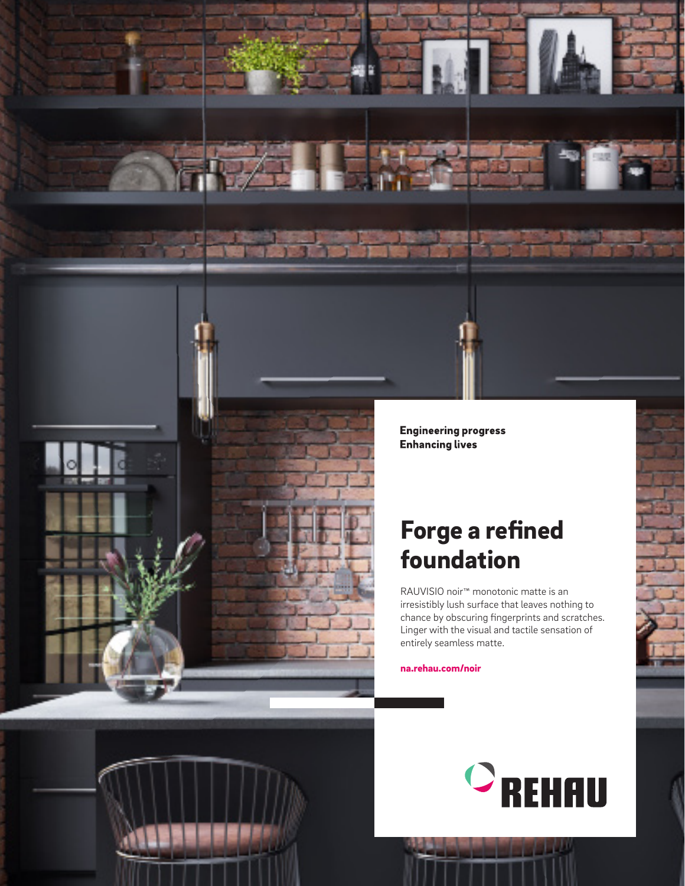



**Engineering progress Enhancing lives** 

# Forge a refined foundation

RAUVISIO noir™ monotonic matte is an irresistibly lush surface that leaves nothing to chance by obscuring fingerprints and scratches. Linger with the visual and tactile sensation of entirely seamless matte.

na.rehau.com/noir

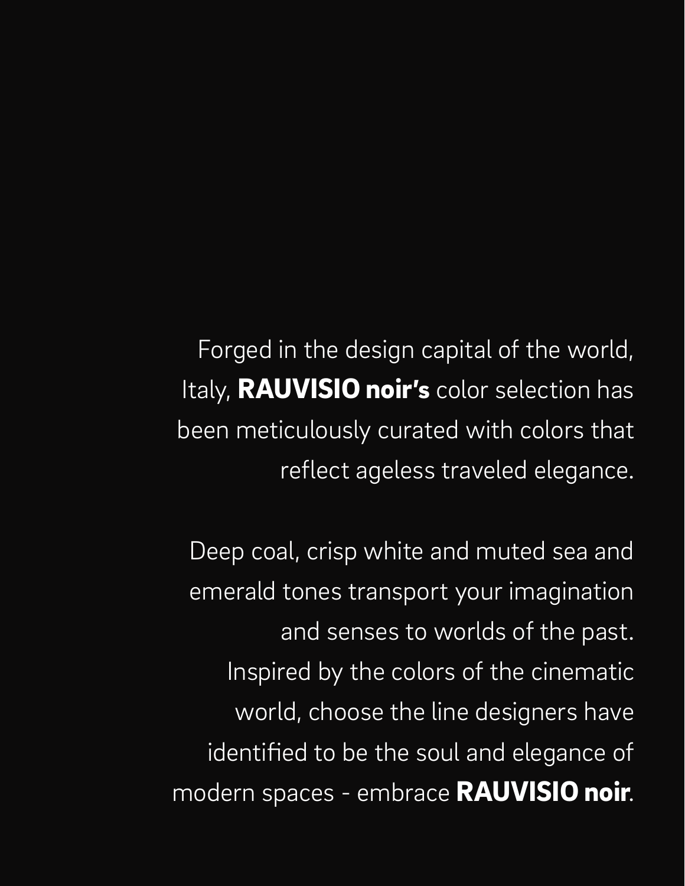Forged in the design capital of the world, Italy, RAUVISIO noir's color selection has been meticulously curated with colors that reflect ageless traveled elegance.

Deep coal, crisp white and muted sea and emerald tones transport your imagination and senses to worlds of the past. Inspired by the colors of the cinematic world, choose the line designers have identified to be the soul and elegance of modern spaces - embrace RAUVISIO noir.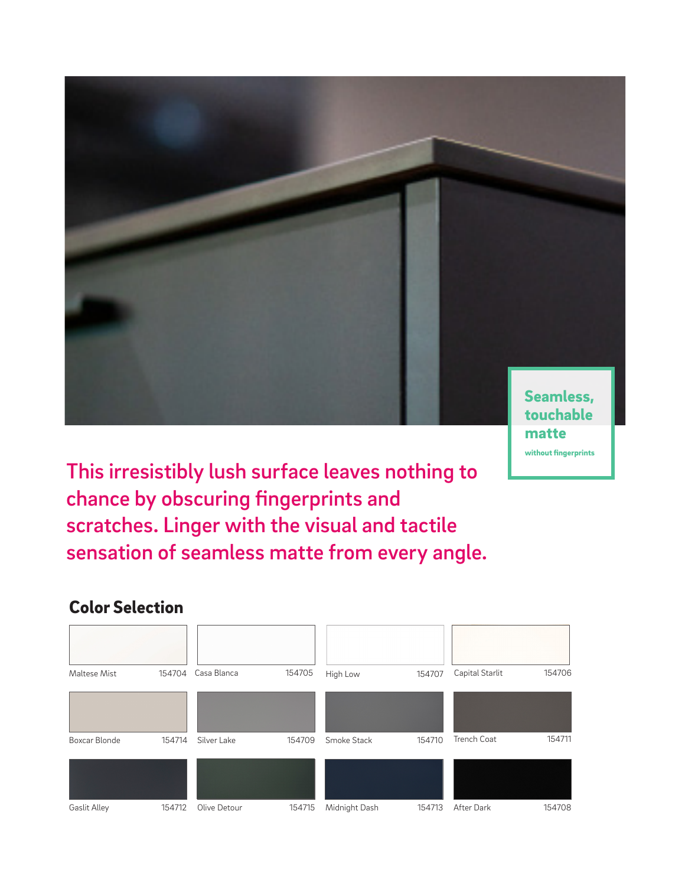

without fingerprints

This irresistibly lush surface leaves nothing to chance by obscuring fingerprints and scratches. Linger with the visual and tactile sensation of seamless matte from every angle.

### Color Selection

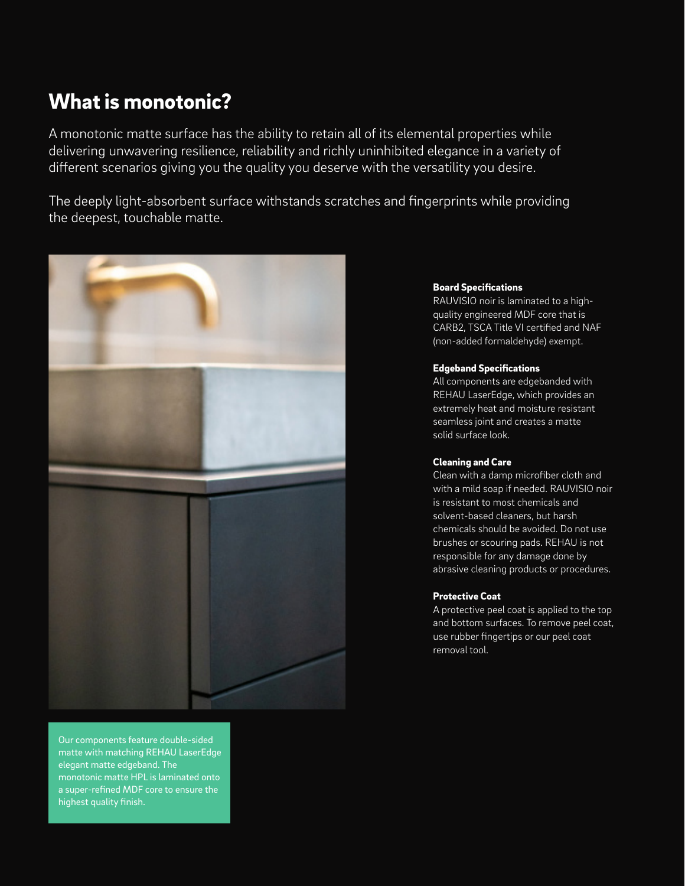## What is monotonic?

A monotonic matte surface has the ability to retain all of its elemental properties while delivering unwavering resilience, reliability and richly uninhibited elegance in a variety of different scenarios giving you the quality you deserve with the versatility you desire.

The deeply light-absorbent surface withstands scratches and fingerprints while providing the deepest, touchable matte.



Our components feature double-sided matte with matching REHAU LaserEdge elegant matte edgeband. The monotonic matte HPL is laminated onto a super-refined MDF core to ensure the highest quality finish.

#### Board Specifications

RAUVISIO noir is laminated to a highquality engineered MDF core that is CARB2, TSCA Title VI certified and NAF (non-added formaldehyde) exempt.

#### Edgeband Specifications

All components are edgebanded with REHAU LaserEdge, which provides an extremely heat and moisture resistant seamless joint and creates a matte solid surface look.

#### Cleaning and Care

Clean with a damp microfiber cloth and with a mild soap if needed. RAUVISIO noir is resistant to most chemicals and solvent-based cleaners, but harsh chemicals should be avoided. Do not use brushes or scouring pads. REHAU is not responsible for any damage done by abrasive cleaning products or procedures.

#### Protective Coat

A protective peel coat is applied to the top and bottom surfaces. To remove peel coat, use rubber fingertips or our peel coat removal tool.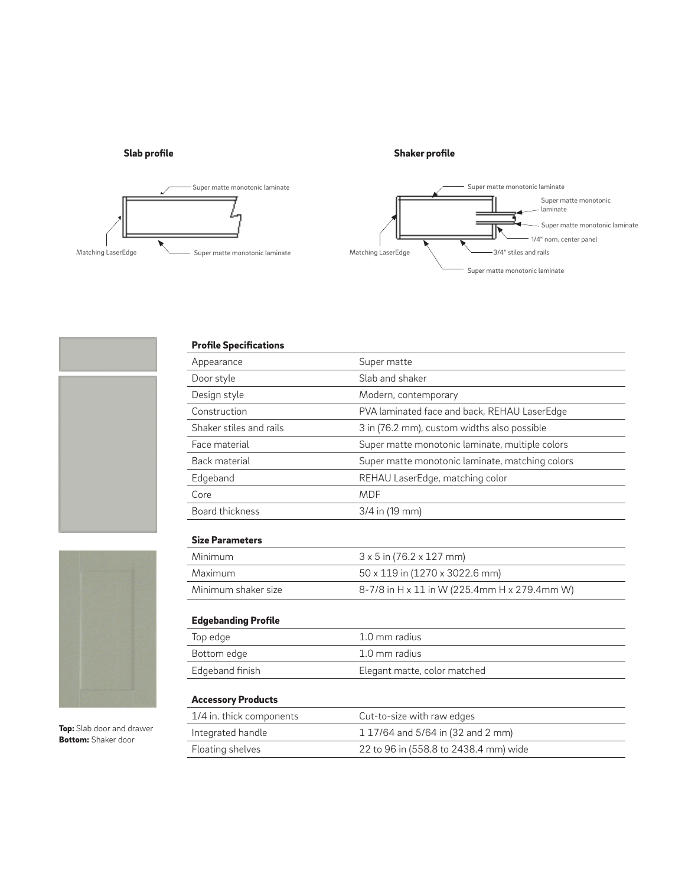#### Slab profile

#### Shaker profile



#### Profile Specifications

| Appearance                 | Super matte                                     |
|----------------------------|-------------------------------------------------|
| Door style                 | Slab and shaker                                 |
| Design style               | Modern, contemporary                            |
| Construction               | PVA laminated face and back, REHAU LaserEdge    |
| Shaker stiles and rails    | 3 in (76.2 mm), custom widths also possible     |
| Face material              | Super matte monotonic laminate, multiple colors |
| Back material              | Super matte monotonic laminate, matching colors |
| Edgeband                   | REHAU LaserEdge, matching color                 |
| Core                       | <b>MDF</b>                                      |
| Board thickness            | 3/4 in (19 mm)                                  |
|                            |                                                 |
| <b>Size Parameters</b>     |                                                 |
| Minimum                    | $3 \times 5$ in (76.2 $\times$ 127 mm)          |
| Maximum                    | 50 x 119 in (1270 x 3022.6 mm)                  |
| Minimum shaker size        | 8-7/8 in H x 11 in W (225.4mm H x 279.4mm W)    |
|                            |                                                 |
| <b>Edgebanding Profile</b> |                                                 |
| Top edge                   | 1.0 mm radius                                   |
| Bottom edge                | 1.0 mm radius                                   |
| Edgeband finish            | Elegant matte, color matched                    |
|                            |                                                 |
| <b>Accessory Products</b>  |                                                 |
| 1/4 in. thick components   | Cut-to-size with raw edges                      |
| Integrated handle          | 1 17/64 and 5/64 in (32 and 2 mm)               |
| Floating shelves           | 22 to 96 in (558.8 to 2438.4 mm) wide           |
|                            |                                                 |



Top: Slab door and drawer **Bottom:** Shaker door